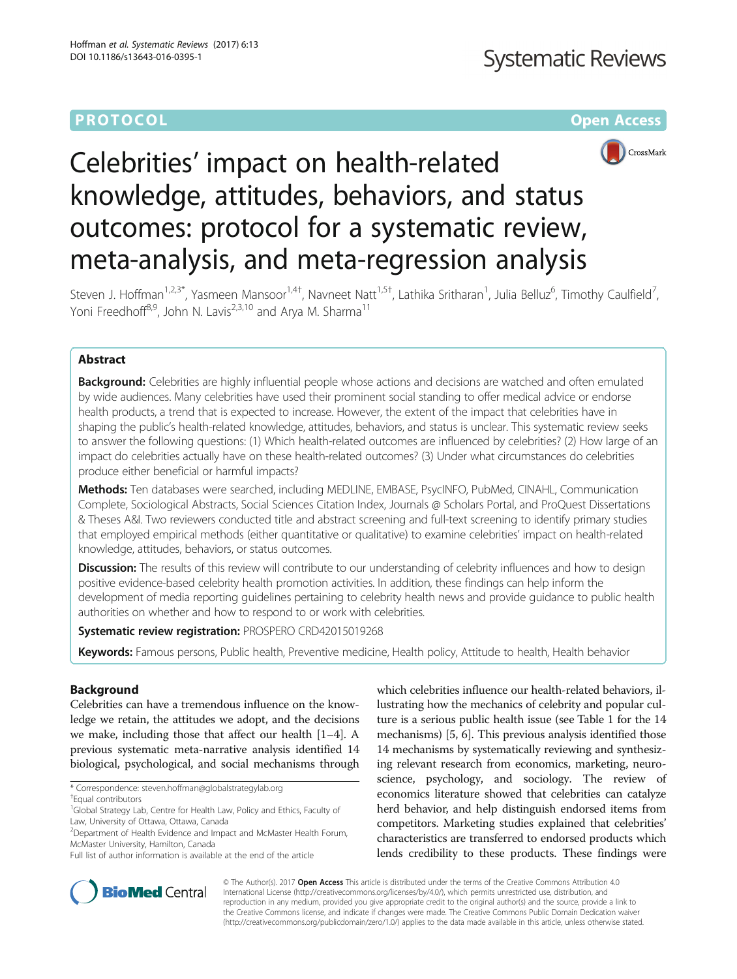# **PROTOCOL CONSUMING THE OPEN ACCESS**



# Celebrities' impact on health-related knowledge, attitudes, behaviors, and status outcomes: protocol for a systematic review, meta-analysis, and meta-regression analysis

Steven J. Hoffman<sup>1,2,3\*</sup>, Yasmeen Mansoor<sup>1,4†</sup>, Navneet Natt<sup>1,5†</sup>, Lathika Sritharan<sup>1</sup>, Julia Belluz<sup>6</sup>, Timothy Caulfield<sup>7</sup> , Yoni Freedhoff<sup>8,9</sup>, John N. Lavis<sup>2,3,10</sup> and Arva M. Sharma<sup>11</sup>

# Abstract

**Background:** Celebrities are highly influential people whose actions and decisions are watched and often emulated by wide audiences. Many celebrities have used their prominent social standing to offer medical advice or endorse health products, a trend that is expected to increase. However, the extent of the impact that celebrities have in shaping the public's health-related knowledge, attitudes, behaviors, and status is unclear. This systematic review seeks to answer the following questions: (1) Which health-related outcomes are influenced by celebrities? (2) How large of an impact do celebrities actually have on these health-related outcomes? (3) Under what circumstances do celebrities produce either beneficial or harmful impacts?

Methods: Ten databases were searched, including MEDLINE, EMBASE, PsycINFO, PubMed, CINAHL, Communication Complete, Sociological Abstracts, Social Sciences Citation Index, Journals @ Scholars Portal, and ProQuest Dissertations & Theses A&I. Two reviewers conducted title and abstract screening and full-text screening to identify primary studies that employed empirical methods (either quantitative or qualitative) to examine celebrities' impact on health-related knowledge, attitudes, behaviors, or status outcomes.

**Discussion:** The results of this review will contribute to our understanding of celebrity influences and how to design positive evidence-based celebrity health promotion activities. In addition, these findings can help inform the development of media reporting guidelines pertaining to celebrity health news and provide guidance to public health authorities on whether and how to respond to or work with celebrities.

Systematic review registration: PROSPERO [CRD42015019268](http://www.crd.york.ac.uk/PROSPERO/display_record.asp?ID=CRD42015019268)

Keywords: Famous persons, Public health, Preventive medicine, Health policy, Attitude to health, Health behavior

# Background

Celebrities can have a tremendous influence on the knowledge we retain, the attitudes we adopt, and the decisions we make, including those that affect our health [\[1](#page-11-0)–[4\]](#page-11-0). A previous systematic meta-narrative analysis identified 14 biological, psychological, and social mechanisms through

which celebrities influence our health-related behaviors, illustrating how the mechanics of celebrity and popular culture is a serious public health issue (see Table [1](#page-1-0) for the 14 mechanisms) [\[5](#page-11-0), [6\]](#page-11-0). This previous analysis identified those 14 mechanisms by systematically reviewing and synthesizing relevant research from economics, marketing, neuroscience, psychology, and sociology. The review of economics literature showed that celebrities can catalyze herd behavior, and help distinguish endorsed items from competitors. Marketing studies explained that celebrities' characteristics are transferred to endorsed products which lends credibility to these products. These findings were



© The Author(s). 2017 **Open Access** This article is distributed under the terms of the Creative Commons Attribution 4.0 International License [\(http://creativecommons.org/licenses/by/4.0/](http://creativecommons.org/licenses/by/4.0/)), which permits unrestricted use, distribution, and reproduction in any medium, provided you give appropriate credit to the original author(s) and the source, provide a link to the Creative Commons license, and indicate if changes were made. The Creative Commons Public Domain Dedication waiver [\(http://creativecommons.org/publicdomain/zero/1.0/](http://creativecommons.org/publicdomain/zero/1.0/)) applies to the data made available in this article, unless otherwise stated.

<sup>\*</sup> Correspondence: [steven.hoffman@globalstrategylab.org](mailto:steven.hoffman@globalstrategylab.org) †

Equal contributors

<sup>&</sup>lt;sup>1</sup>Global Strategy Lab, Centre for Health Law, Policy and Ethics, Faculty of Law, University of Ottawa, Ottawa, Canada

<sup>&</sup>lt;sup>2</sup>Department of Health Evidence and Impact and McMaster Health Forum, McMaster University, Hamilton, Canada

Full list of author information is available at the end of the article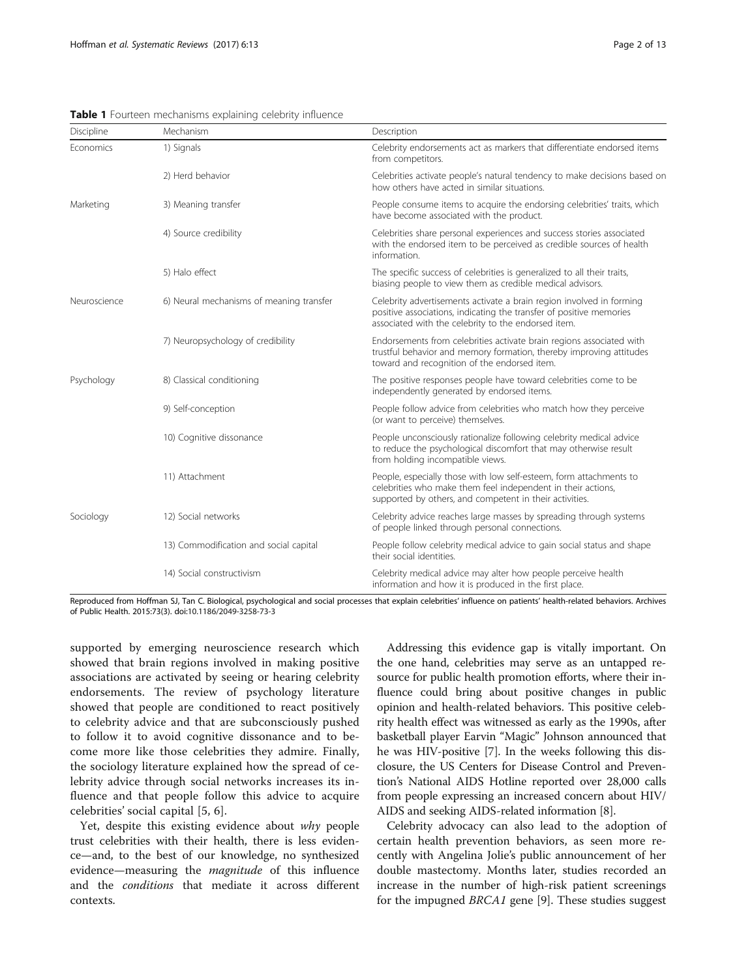| Discipline   | Mechanism                                | Description                                                                                                                                                                                        |
|--------------|------------------------------------------|----------------------------------------------------------------------------------------------------------------------------------------------------------------------------------------------------|
| Economics    | 1) Signals                               | Celebrity endorsements act as markers that differentiate endorsed items<br>from competitors.                                                                                                       |
|              | 2) Herd behavior                         | Celebrities activate people's natural tendency to make decisions based on<br>how others have acted in similar situations.                                                                          |
| Marketing    | 3) Meaning transfer                      | People consume items to acquire the endorsing celebrities' traits, which<br>have become associated with the product.                                                                               |
|              | 4) Source credibility                    | Celebrities share personal experiences and success stories associated<br>with the endorsed item to be perceived as credible sources of health<br>information.                                      |
|              | 5) Halo effect                           | The specific success of celebrities is generalized to all their traits,<br>biasing people to view them as credible medical advisors.                                                               |
| Neuroscience | 6) Neural mechanisms of meaning transfer | Celebrity advertisements activate a brain region involved in forming<br>positive associations, indicating the transfer of positive memories<br>associated with the celebrity to the endorsed item. |
|              | 7) Neuropsychology of credibility        | Endorsements from celebrities activate brain regions associated with<br>trustful behavior and memory formation, thereby improving attitudes<br>toward and recognition of the endorsed item.        |
| Psychology   | 8) Classical conditioning                | The positive responses people have toward celebrities come to be<br>independently generated by endorsed items.                                                                                     |
|              | 9) Self-conception                       | People follow advice from celebrities who match how they perceive<br>(or want to perceive) themselves.                                                                                             |
|              | 10) Cognitive dissonance                 | People unconsciously rationalize following celebrity medical advice<br>to reduce the psychological discomfort that may otherwise result<br>from holding incompatible views.                        |
|              | 11) Attachment                           | People, especially those with low self-esteem, form attachments to<br>celebrities who make them feel independent in their actions,<br>supported by others, and competent in their activities.      |
| Sociology    | 12) Social networks                      | Celebrity advice reaches large masses by spreading through systems<br>of people linked through personal connections.                                                                               |
|              | 13) Commodification and social capital   | People follow celebrity medical advice to gain social status and shape<br>their social identities.                                                                                                 |
|              | 14) Social constructivism                | Celebrity medical advice may alter how people perceive health<br>information and how it is produced in the first place.                                                                            |

<span id="page-1-0"></span>Table 1 Fourteen mechanisms explaining celebrity influence

Reproduced from Hoffman SJ, Tan C. Biological, psychological and social processes that explain celebrities' influence on patients' health-related behaviors. Archives of Public Health. 2015:73(3). doi:[10.1186/2049-3258-73-3](http://dx.doi.org/10.1186/2049-3258-73-3)

supported by emerging neuroscience research which showed that brain regions involved in making positive associations are activated by seeing or hearing celebrity endorsements. The review of psychology literature showed that people are conditioned to react positively to celebrity advice and that are subconsciously pushed to follow it to avoid cognitive dissonance and to become more like those celebrities they admire. Finally, the sociology literature explained how the spread of celebrity advice through social networks increases its influence and that people follow this advice to acquire celebrities' social capital [[5, 6](#page-11-0)].

Yet, despite this existing evidence about why people trust celebrities with their health, there is less evidence—and, to the best of our knowledge, no synthesized evidence—measuring the *magnitude* of this influence and the conditions that mediate it across different contexts.

Addressing this evidence gap is vitally important. On the one hand, celebrities may serve as an untapped resource for public health promotion efforts, where their influence could bring about positive changes in public opinion and health-related behaviors. This positive celebrity health effect was witnessed as early as the 1990s, after basketball player Earvin "Magic" Johnson announced that he was HIV-positive [[7](#page-11-0)]. In the weeks following this disclosure, the US Centers for Disease Control and Prevention's National AIDS Hotline reported over 28,000 calls from people expressing an increased concern about HIV/ AIDS and seeking AIDS-related information [[8\]](#page-11-0).

Celebrity advocacy can also lead to the adoption of certain health prevention behaviors, as seen more recently with Angelina Jolie's public announcement of her double mastectomy. Months later, studies recorded an increase in the number of high-risk patient screenings for the impugned BRCA1 gene [\[9](#page-11-0)]. These studies suggest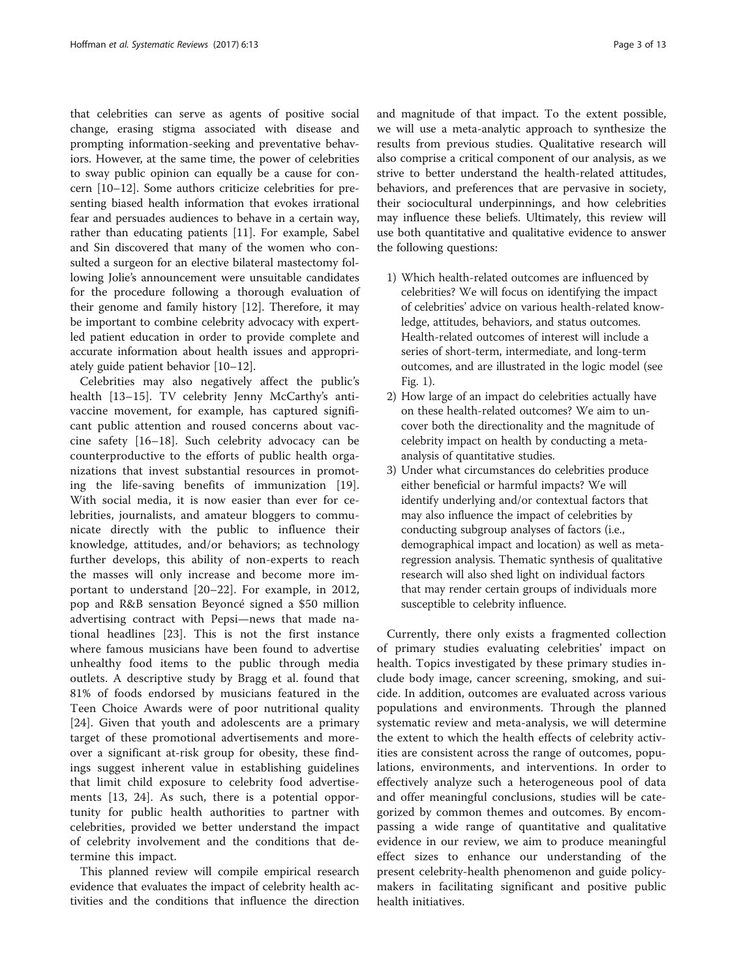that celebrities can serve as agents of positive social change, erasing stigma associated with disease and prompting information-seeking and preventative behaviors. However, at the same time, the power of celebrities to sway public opinion can equally be a cause for concern [[10](#page-11-0)–[12](#page-11-0)]. Some authors criticize celebrities for presenting biased health information that evokes irrational fear and persuades audiences to behave in a certain way, rather than educating patients [\[11](#page-11-0)]. For example, Sabel and Sin discovered that many of the women who consulted a surgeon for an elective bilateral mastectomy following Jolie's announcement were unsuitable candidates for the procedure following a thorough evaluation of their genome and family history [[12](#page-11-0)]. Therefore, it may be important to combine celebrity advocacy with expertled patient education in order to provide complete and accurate information about health issues and appropriately guide patient behavior [[10](#page-11-0)–[12](#page-11-0)].

Celebrities may also negatively affect the public's health [[13](#page-11-0)-[15\]](#page-12-0). TV celebrity Jenny McCarthy's antivaccine movement, for example, has captured significant public attention and roused concerns about vaccine safety [\[16](#page-12-0)–[18](#page-12-0)]. Such celebrity advocacy can be counterproductive to the efforts of public health organizations that invest substantial resources in promoting the life-saving benefits of immunization [[19](#page-12-0)]. With social media, it is now easier than ever for celebrities, journalists, and amateur bloggers to communicate directly with the public to influence their knowledge, attitudes, and/or behaviors; as technology further develops, this ability of non-experts to reach the masses will only increase and become more important to understand [[20](#page-12-0)–[22\]](#page-12-0). For example, in 2012, pop and R&B sensation Beyoncé signed a \$50 million advertising contract with Pepsi—news that made national headlines [[23\]](#page-12-0). This is not the first instance where famous musicians have been found to advertise unhealthy food items to the public through media outlets. A descriptive study by Bragg et al. found that 81% of foods endorsed by musicians featured in the Teen Choice Awards were of poor nutritional quality [[24\]](#page-12-0). Given that youth and adolescents are a primary target of these promotional advertisements and moreover a significant at-risk group for obesity, these findings suggest inherent value in establishing guidelines that limit child exposure to celebrity food advertisements [[13,](#page-11-0) [24](#page-12-0)]. As such, there is a potential opportunity for public health authorities to partner with celebrities, provided we better understand the impact of celebrity involvement and the conditions that determine this impact.

This planned review will compile empirical research evidence that evaluates the impact of celebrity health activities and the conditions that influence the direction and magnitude of that impact. To the extent possible, we will use a meta-analytic approach to synthesize the results from previous studies. Qualitative research will also comprise a critical component of our analysis, as we strive to better understand the health-related attitudes, behaviors, and preferences that are pervasive in society, their sociocultural underpinnings, and how celebrities may influence these beliefs. Ultimately, this review will use both quantitative and qualitative evidence to answer the following questions:

- 1) Which health-related outcomes are influenced by celebrities? We will focus on identifying the impact of celebrities' advice on various health-related knowledge, attitudes, behaviors, and status outcomes. Health-related outcomes of interest will include a series of short-term, intermediate, and long-term outcomes, and are illustrated in the logic model (see Fig. [1](#page-3-0)).
- 2) How large of an impact do celebrities actually have on these health-related outcomes? We aim to uncover both the directionality and the magnitude of celebrity impact on health by conducting a metaanalysis of quantitative studies.
- 3) Under what circumstances do celebrities produce either beneficial or harmful impacts? We will identify underlying and/or contextual factors that may also influence the impact of celebrities by conducting subgroup analyses of factors (i.e., demographical impact and location) as well as metaregression analysis. Thematic synthesis of qualitative research will also shed light on individual factors that may render certain groups of individuals more susceptible to celebrity influence.

Currently, there only exists a fragmented collection of primary studies evaluating celebrities' impact on health. Topics investigated by these primary studies include body image, cancer screening, smoking, and suicide. In addition, outcomes are evaluated across various populations and environments. Through the planned systematic review and meta-analysis, we will determine the extent to which the health effects of celebrity activities are consistent across the range of outcomes, populations, environments, and interventions. In order to effectively analyze such a heterogeneous pool of data and offer meaningful conclusions, studies will be categorized by common themes and outcomes. By encompassing a wide range of quantitative and qualitative evidence in our review, we aim to produce meaningful effect sizes to enhance our understanding of the present celebrity-health phenomenon and guide policymakers in facilitating significant and positive public health initiatives.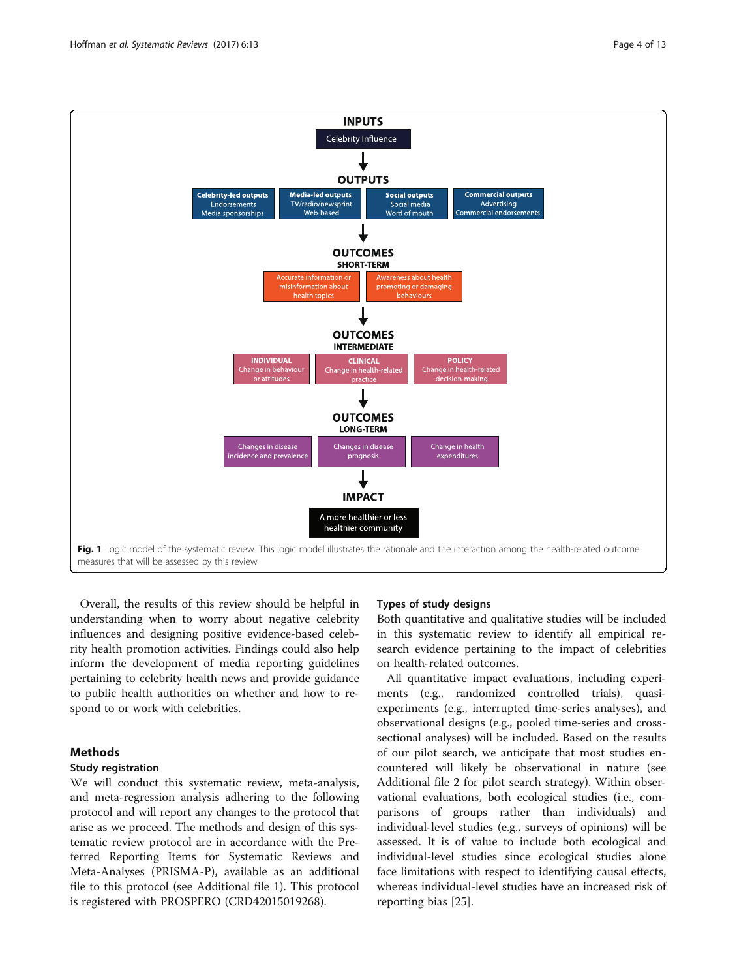<span id="page-3-0"></span>

Overall, the results of this review should be helpful in understanding when to worry about negative celebrity influences and designing positive evidence-based celebrity health promotion activities. Findings could also help inform the development of media reporting guidelines pertaining to celebrity health news and provide guidance to public health authorities on whether and how to respond to or work with celebrities.

# Methods

# Study registration

We will conduct this systematic review, meta-analysis, and meta-regression analysis adhering to the following protocol and will report any changes to the protocol that arise as we proceed. The methods and design of this systematic review protocol are in accordance with the Preferred Reporting Items for Systematic Reviews and Meta-Analyses (PRISMA-P), available as an additional file to this protocol (see Additional file [1](#page-11-0)). This protocol is registered with PROSPERO (CRD42015019268).

### Types of study designs

Both quantitative and qualitative studies will be included in this systematic review to identify all empirical research evidence pertaining to the impact of celebrities on health-related outcomes.

All quantitative impact evaluations, including experiments (e.g., randomized controlled trials), quasiexperiments (e.g., interrupted time-series analyses), and observational designs (e.g., pooled time-series and crosssectional analyses) will be included. Based on the results of our pilot search, we anticipate that most studies encountered will likely be observational in nature (see Additional file [2](#page-11-0) for pilot search strategy). Within observational evaluations, both ecological studies (i.e., comparisons of groups rather than individuals) and individual-level studies (e.g., surveys of opinions) will be assessed. It is of value to include both ecological and individual-level studies since ecological studies alone face limitations with respect to identifying causal effects, whereas individual-level studies have an increased risk of reporting bias [[25](#page-12-0)].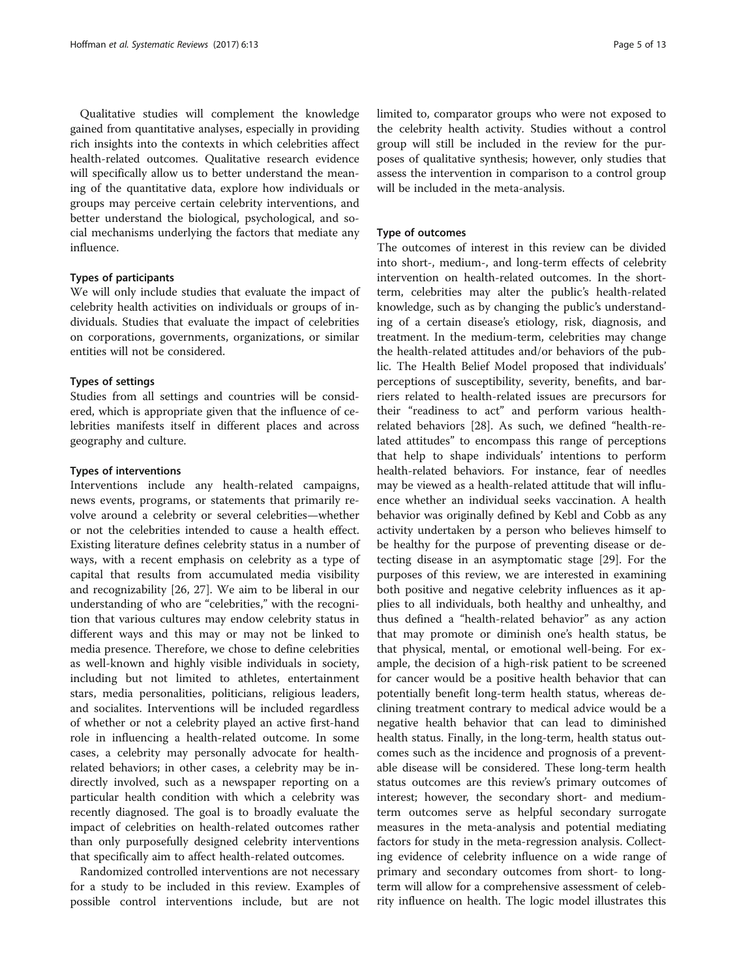Qualitative studies will complement the knowledge gained from quantitative analyses, especially in providing rich insights into the contexts in which celebrities affect health-related outcomes. Qualitative research evidence will specifically allow us to better understand the meaning of the quantitative data, explore how individuals or groups may perceive certain celebrity interventions, and better understand the biological, psychological, and social mechanisms underlying the factors that mediate any influence.

# Types of participants

We will only include studies that evaluate the impact of celebrity health activities on individuals or groups of individuals. Studies that evaluate the impact of celebrities on corporations, governments, organizations, or similar entities will not be considered.

### Types of settings

Studies from all settings and countries will be considered, which is appropriate given that the influence of celebrities manifests itself in different places and across geography and culture.

# Types of interventions

Interventions include any health-related campaigns, news events, programs, or statements that primarily revolve around a celebrity or several celebrities—whether or not the celebrities intended to cause a health effect. Existing literature defines celebrity status in a number of ways, with a recent emphasis on celebrity as a type of capital that results from accumulated media visibility and recognizability [\[26](#page-12-0), [27\]](#page-12-0). We aim to be liberal in our understanding of who are "celebrities," with the recognition that various cultures may endow celebrity status in different ways and this may or may not be linked to media presence. Therefore, we chose to define celebrities as well-known and highly visible individuals in society, including but not limited to athletes, entertainment stars, media personalities, politicians, religious leaders, and socialites. Interventions will be included regardless of whether or not a celebrity played an active first-hand role in influencing a health-related outcome. In some cases, a celebrity may personally advocate for healthrelated behaviors; in other cases, a celebrity may be indirectly involved, such as a newspaper reporting on a particular health condition with which a celebrity was recently diagnosed. The goal is to broadly evaluate the impact of celebrities on health-related outcomes rather than only purposefully designed celebrity interventions that specifically aim to affect health-related outcomes.

Randomized controlled interventions are not necessary for a study to be included in this review. Examples of possible control interventions include, but are not limited to, comparator groups who were not exposed to the celebrity health activity. Studies without a control group will still be included in the review for the purposes of qualitative synthesis; however, only studies that assess the intervention in comparison to a control group will be included in the meta-analysis.

### Type of outcomes

The outcomes of interest in this review can be divided into short-, medium-, and long-term effects of celebrity intervention on health-related outcomes. In the shortterm, celebrities may alter the public's health-related knowledge, such as by changing the public's understanding of a certain disease's etiology, risk, diagnosis, and treatment. In the medium-term, celebrities may change the health-related attitudes and/or behaviors of the public. The Health Belief Model proposed that individuals' perceptions of susceptibility, severity, benefits, and barriers related to health-related issues are precursors for their "readiness to act" and perform various healthrelated behaviors [[28](#page-12-0)]. As such, we defined "health-related attitudes" to encompass this range of perceptions that help to shape individuals' intentions to perform health-related behaviors. For instance, fear of needles may be viewed as a health-related attitude that will influence whether an individual seeks vaccination. A health behavior was originally defined by Kebl and Cobb as any activity undertaken by a person who believes himself to be healthy for the purpose of preventing disease or detecting disease in an asymptomatic stage [\[29](#page-12-0)]. For the purposes of this review, we are interested in examining both positive and negative celebrity influences as it applies to all individuals, both healthy and unhealthy, and thus defined a "health-related behavior" as any action that may promote or diminish one's health status, be that physical, mental, or emotional well-being. For example, the decision of a high-risk patient to be screened for cancer would be a positive health behavior that can potentially benefit long-term health status, whereas declining treatment contrary to medical advice would be a negative health behavior that can lead to diminished health status. Finally, in the long-term, health status outcomes such as the incidence and prognosis of a preventable disease will be considered. These long-term health status outcomes are this review's primary outcomes of interest; however, the secondary short- and mediumterm outcomes serve as helpful secondary surrogate measures in the meta-analysis and potential mediating factors for study in the meta-regression analysis. Collecting evidence of celebrity influence on a wide range of primary and secondary outcomes from short- to longterm will allow for a comprehensive assessment of celebrity influence on health. The logic model illustrates this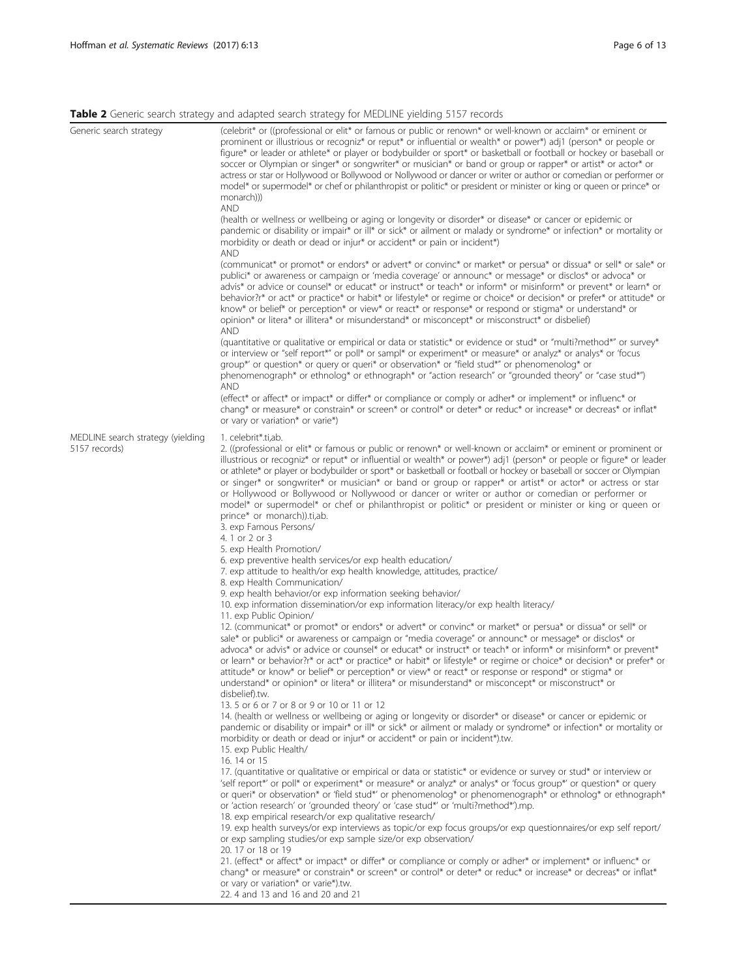# <span id="page-5-0"></span>Table 2 Generic search strategy and adapted search strategy for MEDLINE yielding 5157 records

|                                                    | <u>J/</u><br>$\overline{\phantom{0}}$                                                                                                                                                                                                                                                                                                                                                                                                                                                                                                                                                                                                                                                                                                                                                                                                                                                                                                                                                                                                                                                                                                                                                           |
|----------------------------------------------------|-------------------------------------------------------------------------------------------------------------------------------------------------------------------------------------------------------------------------------------------------------------------------------------------------------------------------------------------------------------------------------------------------------------------------------------------------------------------------------------------------------------------------------------------------------------------------------------------------------------------------------------------------------------------------------------------------------------------------------------------------------------------------------------------------------------------------------------------------------------------------------------------------------------------------------------------------------------------------------------------------------------------------------------------------------------------------------------------------------------------------------------------------------------------------------------------------|
| Generic search strategy                            | (celebrit* or ((professional or elit* or famous or public or renown* or well-known or acclaim* or eminent or<br>prominent or illustrious or recogniz <sup>*</sup> or reput <sup>*</sup> or influential or wealth <sup>*</sup> or power <sup>*</sup> ) adj1 (person <sup>*</sup> or people or<br>figure* or leader or athlete* or player or bodybuilder or sport* or basketball or football or hockey or baseball or<br>soccer or Olympian or singer* or songwriter* or musician* or band or group or rapper* or artist* or actor* or<br>actress or star or Hollywood or Bollywood or Nollywood or dancer or writer or author or comedian or performer or<br>model* or supermodel* or chef or philanthropist or politic* or president or minister or king or queen or prince* or<br>monarch))<br><b>AND</b><br>(health or wellness or wellbeing or aging or longevity or disorder* or disease* or cancer or epidemic or<br>pandemic or disability or impair* or ill* or sick* or ailment or malady or syndrome* or infection* or mortality or<br>morbidity or death or dead or injur <sup>*</sup> or accident <sup>*</sup> or pain or incident <sup>*</sup> )<br>and                             |
|                                                    | (communicat* or promot* or endors* or advert* or convinc* or market* or persua* or dissua* or sell* or sale* or<br>publici* or awareness or campaign or 'media coverage' or announc* or message* or disclos* or advoca* or<br>advis* or advice or counsel* or educat* or instruct* or teach* or inform* or misinform* or prevent* or learn* or<br>behavior?r* or act* or practice* or habit* or lifestyle* or regime or choice* or decision* or prefer* or attitude* or<br>know* or belief* or perception* or view* or react* or response* or respond or stigma* or understand* or<br>opinion* or litera* or illitera* or misunderstand* or misconcept* or misconstruct* or disbelief)<br><b>AND</b>                                                                                                                                                                                                                                                                                                                                                                                                                                                                                            |
|                                                    | (quantitative or qualitative or empirical or data or statistic* or evidence or stud* or "multi?method*" or survey*<br>or interview or "self report*" or poll* or sampl* or experiment* or measure* or analyz* or analys* or 'focus<br>group*' or question* or query or queri* or observation* or "field stud*" or phenomenolog* or<br>phenomenograph* or ethnolog* or ethnograph* or "action research" or "grounded theory" or "case stud*")<br>and<br>(effect* or affect* or impact* or differ* or compliance or comply or adher* or implement* or influenc* or<br>chang* or measure* or constrain* or screen* or control* or deter* or reduc* or increase* or decreas* or inflat*                                                                                                                                                                                                                                                                                                                                                                                                                                                                                                             |
| MEDLINE search strategy (yielding<br>5157 records) | or vary or variation* or varie*)<br>1. celebrit*.ti,ab.<br>2. ((professional or elit <sup>*</sup> or famous or public or renown <sup>*</sup> or well-known or acclaim <sup>*</sup> or eminent or prominent or<br>illustrious or recogniz <sup>*</sup> or reput <sup>*</sup> or influential or wealth <sup>*</sup> or power <sup>*</sup> ) adj1 (person <sup>*</sup> or people or figure <sup>*</sup> or leader<br>or athlete* or player or bodybuilder or sport* or basketball or football or hockey or baseball or soccer or Olympian<br>or singer* or songwriter* or musician* or band or group or rapper* or artist* or actor* or actress or star<br>or Hollywood or Bollywood or Nollywood or dancer or writer or author or comedian or performer or<br>model* or supermodel* or chef or philanthropist or politic* or president or minister or king or queen or<br>prince* or monarch)).ti,ab.<br>3. exp Famous Persons/<br>4. 1 or 2 or 3                                                                                                                                                                                                                                                 |
|                                                    | 5. exp Health Promotion/<br>6. exp preventive health services/or exp health education/<br>7. exp attitude to health/or exp health knowledge, attitudes, practice/<br>8. exp Health Communication/<br>9. exp health behavior/or exp information seeking behavior/<br>10. exp information dissemination/or exp information literacy/or exp health literacy/<br>11. exp Public Opinion/<br>12. (communicat* or promot* or endors* or advert* or convinc* or market* or persua* or dissua* or sell* or<br>sale* or publici* or awareness or campaign or "media coverage" or announc* or message* or disclos* or<br>advoca* or advis* or advice or counsel* or educat* or instruct* or teach* or inform* or misinform* or prevent*<br>or learn* or behavior?r* or act* or practice* or habit* or lifestyle* or regime or choice* or decision* or prefer* or<br>attitude* or know* or belief* or perception* or view* or react* or response or respond* or stigma* or<br>understand* or opinion* or litera* or illitera* or misunderstand* or misconcept* or misconstruct* or<br>disbelief).tw.<br>13.5 or 6 or 7 or 8 or 9 or 10 or 11 or 12                                                         |
|                                                    | 14. (health or wellness or wellbeing or aging or longevity or disorder* or disease* or cancer or epidemic or<br>pandemic or disability or impair* or ill* or sick* or ailment or malady or syndrome* or infection* or mortality or<br>morbidity or death or dead or injur* or accident* or pain or incident*).tw.<br>15. exp Public Health/<br>16. 14 or 15<br>17. (quantitative or qualitative or empirical or data or statistic* or evidence or survey or stud* or interview or<br>'self report*' or poll* or experiment* or measure* or analyz* or analys* or 'focus group*' or question* or query<br>or queri* or observation* or 'field stud*' or phenomenolog* or phenomenograph* or ethnolog* or ethnograph*<br>or 'action research' or 'grounded theory' or 'case stud*' or 'multi?method*').mp.<br>18. exp empirical research/or exp qualitative research/<br>19. exp health surveys/or exp interviews as topic/or exp focus groups/or exp questionnaires/or exp self report/<br>or exp sampling studies/or exp sample size/or exp observation/<br>20. 17 or 18 or 19<br>21. (effect* or affect* or impact* or differ* or compliance or comply or adher* or implement* or influenc* or |
|                                                    | chang* or measure* or constrain* or screen* or control* or deter* or reduc* or increase* or decreas* or inflat*<br>or vary or variation* or varie*).tw.<br>22. 4 and 13 and 16 and 20 and 21                                                                                                                                                                                                                                                                                                                                                                                                                                                                                                                                                                                                                                                                                                                                                                                                                                                                                                                                                                                                    |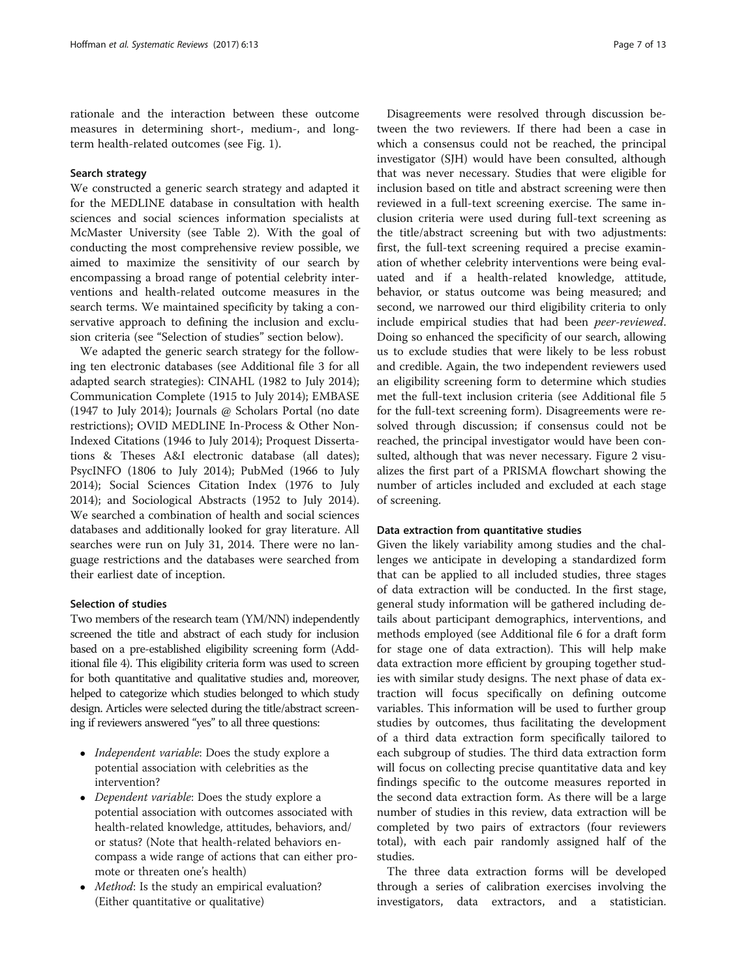rationale and the interaction between these outcome measures in determining short-, medium-, and longterm health-related outcomes (see Fig. [1](#page-3-0)).

# Search strategy

We constructed a generic search strategy and adapted it for the MEDLINE database in consultation with health sciences and social sciences information specialists at McMaster University (see Table [2\)](#page-5-0). With the goal of conducting the most comprehensive review possible, we aimed to maximize the sensitivity of our search by encompassing a broad range of potential celebrity interventions and health-related outcome measures in the search terms. We maintained specificity by taking a conservative approach to defining the inclusion and exclusion criteria (see "Selection of studies" section below).

We adapted the generic search strategy for the following ten electronic databases (see Additional file [3](#page-11-0) for all adapted search strategies): CINAHL (1982 to July 2014); Communication Complete (1915 to July 2014); EMBASE (1947 to July 2014); Journals @ Scholars Portal (no date restrictions); OVID MEDLINE In-Process & Other Non-Indexed Citations (1946 to July 2014); Proquest Dissertations & Theses A&I electronic database (all dates); PsycINFO (1806 to July 2014); PubMed (1966 to July 2014); Social Sciences Citation Index (1976 to July 2014); and Sociological Abstracts (1952 to July 2014). We searched a combination of health and social sciences databases and additionally looked for gray literature. All searches were run on July 31, 2014. There were no language restrictions and the databases were searched from their earliest date of inception.

### Selection of studies

Two members of the research team (YM/NN) independently screened the title and abstract of each study for inclusion based on a pre-established eligibility screening form (Additional file [4](#page-11-0)). This eligibility criteria form was used to screen for both quantitative and qualitative studies and, moreover, helped to categorize which studies belonged to which study design. Articles were selected during the title/abstract screening if reviewers answered "yes" to all three questions:

- *Independent variable:* Does the study explore a potential association with celebrities as the intervention?
- Dependent variable: Does the study explore a potential association with outcomes associated with health-related knowledge, attitudes, behaviors, and/ or status? (Note that health-related behaviors encompass a wide range of actions that can either promote or threaten one's health)
- Method: Is the study an empirical evaluation? (Either quantitative or qualitative)

Disagreements were resolved through discussion between the two reviewers. If there had been a case in which a consensus could not be reached, the principal investigator (SJH) would have been consulted, although that was never necessary. Studies that were eligible for inclusion based on title and abstract screening were then reviewed in a full-text screening exercise. The same inclusion criteria were used during full-text screening as the title/abstract screening but with two adjustments: first, the full-text screening required a precise examination of whether celebrity interventions were being evaluated and if a health-related knowledge, attitude, behavior, or status outcome was being measured; and second, we narrowed our third eligibility criteria to only include empirical studies that had been peer-reviewed. Doing so enhanced the specificity of our search, allowing us to exclude studies that were likely to be less robust and credible. Again, the two independent reviewers used an eligibility screening form to determine which studies met the full-text inclusion criteria (see Additional file [5](#page-11-0) for the full-text screening form). Disagreements were resolved through discussion; if consensus could not be reached, the principal investigator would have been consulted, although that was never necessary. Figure [2](#page-7-0) visualizes the first part of a PRISMA flowchart showing the number of articles included and excluded at each stage of screening.

# Data extraction from quantitative studies

Given the likely variability among studies and the challenges we anticipate in developing a standardized form that can be applied to all included studies, three stages of data extraction will be conducted. In the first stage, general study information will be gathered including details about participant demographics, interventions, and methods employed (see Additional file [6](#page-11-0) for a draft form for stage one of data extraction). This will help make data extraction more efficient by grouping together studies with similar study designs. The next phase of data extraction will focus specifically on defining outcome variables. This information will be used to further group studies by outcomes, thus facilitating the development of a third data extraction form specifically tailored to each subgroup of studies. The third data extraction form will focus on collecting precise quantitative data and key findings specific to the outcome measures reported in the second data extraction form. As there will be a large number of studies in this review, data extraction will be completed by two pairs of extractors (four reviewers total), with each pair randomly assigned half of the studies.

The three data extraction forms will be developed through a series of calibration exercises involving the investigators, data extractors, and a statistician.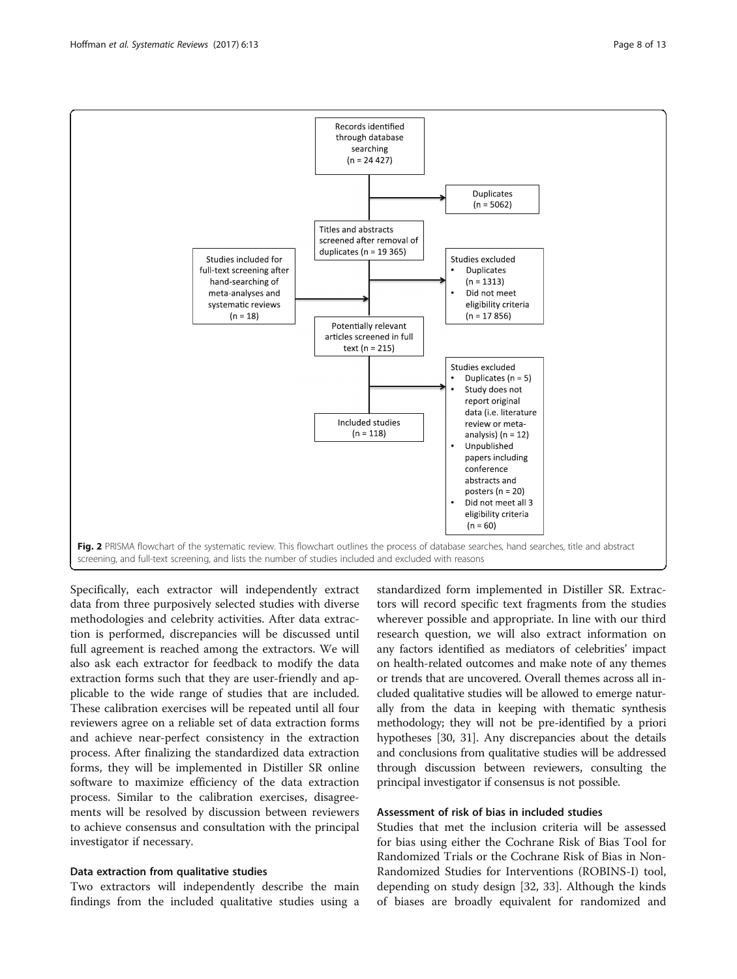<span id="page-7-0"></span>

Specifically, each extractor will independently extract data from three purposively selected studies with diverse methodologies and celebrity activities. After data extraction is performed, discrepancies will be discussed until full agreement is reached among the extractors. We will also ask each extractor for feedback to modify the data extraction forms such that they are user-friendly and applicable to the wide range of studies that are included. These calibration exercises will be repeated until all four reviewers agree on a reliable set of data extraction forms and achieve near-perfect consistency in the extraction process. After finalizing the standardized data extraction forms, they will be implemented in Distiller SR online software to maximize efficiency of the data extraction process. Similar to the calibration exercises, disagreements will be resolved by discussion between reviewers to achieve consensus and consultation with the principal investigator if necessary.

# Data extraction from qualitative studies

Two extractors will independently describe the main findings from the included qualitative studies using a standardized form implemented in Distiller SR. Extractors will record specific text fragments from the studies wherever possible and appropriate. In line with our third research question, we will also extract information on any factors identified as mediators of celebrities' impact on health-related outcomes and make note of any themes or trends that are uncovered. Overall themes across all included qualitative studies will be allowed to emerge naturally from the data in keeping with thematic synthesis methodology; they will not be pre-identified by a priori hypotheses [\[30, 31\]](#page-12-0). Any discrepancies about the details and conclusions from qualitative studies will be addressed through discussion between reviewers, consulting the principal investigator if consensus is not possible.

# Assessment of risk of bias in included studies

Studies that met the inclusion criteria will be assessed for bias using either the Cochrane Risk of Bias Tool for Randomized Trials or the Cochrane Risk of Bias in Non-Randomized Studies for Interventions (ROBINS-I) tool, depending on study design [[32](#page-12-0), [33](#page-12-0)]. Although the kinds of biases are broadly equivalent for randomized and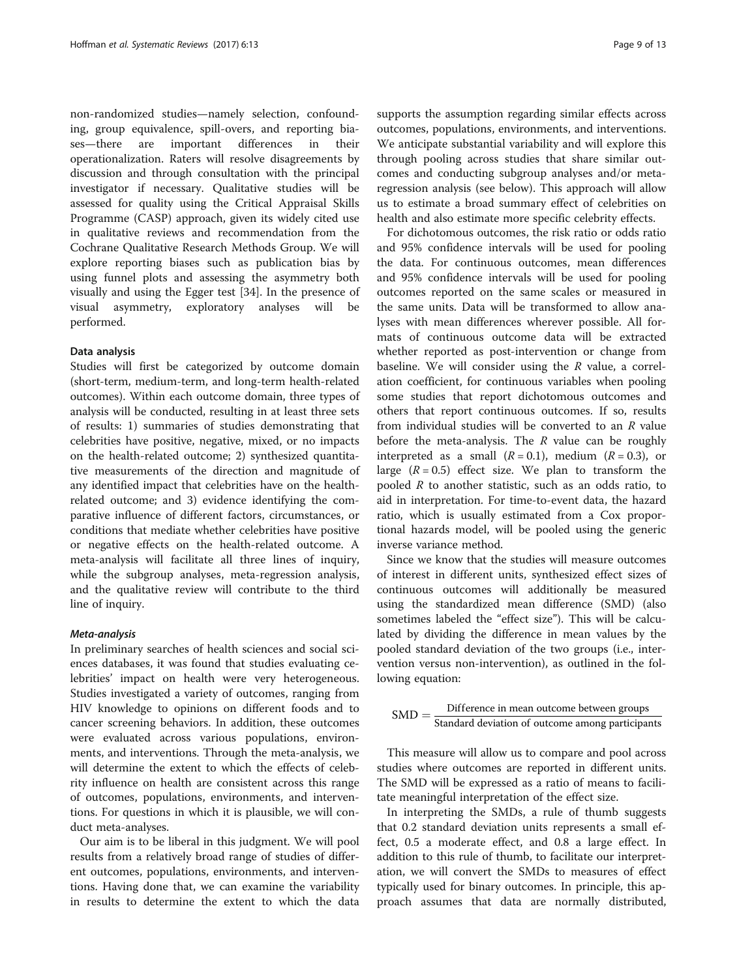non-randomized studies—namely selection, confounding, group equivalence, spill-overs, and reporting biases—there are important differences in their operationalization. Raters will resolve disagreements by discussion and through consultation with the principal investigator if necessary. Qualitative studies will be assessed for quality using the Critical Appraisal Skills Programme (CASP) approach, given its widely cited use in qualitative reviews and recommendation from the Cochrane Qualitative Research Methods Group. We will explore reporting biases such as publication bias by using funnel plots and assessing the asymmetry both visually and using the Egger test [[34\]](#page-12-0). In the presence of visual asymmetry, exploratory analyses will be performed.

### Data analysis

Studies will first be categorized by outcome domain (short-term, medium-term, and long-term health-related outcomes). Within each outcome domain, three types of analysis will be conducted, resulting in at least three sets of results: 1) summaries of studies demonstrating that celebrities have positive, negative, mixed, or no impacts on the health-related outcome; 2) synthesized quantitative measurements of the direction and magnitude of any identified impact that celebrities have on the healthrelated outcome; and 3) evidence identifying the comparative influence of different factors, circumstances, or conditions that mediate whether celebrities have positive or negative effects on the health-related outcome. A meta-analysis will facilitate all three lines of inquiry, while the subgroup analyses, meta-regression analysis, and the qualitative review will contribute to the third line of inquiry.

In preliminary searches of health sciences and social sciences databases, it was found that studies evaluating celebrities' impact on health were very heterogeneous. Studies investigated a variety of outcomes, ranging from HIV knowledge to opinions on different foods and to cancer screening behaviors. In addition, these outcomes were evaluated across various populations, environments, and interventions. Through the meta-analysis, we will determine the extent to which the effects of celebrity influence on health are consistent across this range of outcomes, populations, environments, and interventions. For questions in which it is plausible, we will conduct meta-analyses.

Our aim is to be liberal in this judgment. We will pool results from a relatively broad range of studies of different outcomes, populations, environments, and interventions. Having done that, we can examine the variability in results to determine the extent to which the data supports the assumption regarding similar effects across outcomes, populations, environments, and interventions. We anticipate substantial variability and will explore this through pooling across studies that share similar outcomes and conducting subgroup analyses and/or metaregression analysis (see below). This approach will allow us to estimate a broad summary effect of celebrities on health and also estimate more specific celebrity effects.

For dichotomous outcomes, the risk ratio or odds ratio and 95% confidence intervals will be used for pooling the data. For continuous outcomes, mean differences and 95% confidence intervals will be used for pooling outcomes reported on the same scales or measured in the same units. Data will be transformed to allow analyses with mean differences wherever possible. All formats of continuous outcome data will be extracted whether reported as post-intervention or change from baseline. We will consider using the R value, a correlation coefficient, for continuous variables when pooling some studies that report dichotomous outcomes and others that report continuous outcomes. If so, results from individual studies will be converted to an R value before the meta-analysis. The  $R$  value can be roughly interpreted as a small  $(R = 0.1)$ , medium  $(R = 0.3)$ , or large  $(R = 0.5)$  effect size. We plan to transform the pooled  $R$  to another statistic, such as an odds ratio, to aid in interpretation. For time-to-event data, the hazard ratio, which is usually estimated from a Cox proportional hazards model, will be pooled using the generic inverse variance method.

Since we know that the studies will measure outcomes of interest in different units, synthesized effect sizes of continuous outcomes will additionally be measured using the standardized mean difference (SMD) (also sometimes labeled the "effect size"). This will be calculated by dividing the difference in mean values by the pooled standard deviation of the two groups (i.e., intervention versus non-intervention), as outlined in the following equation:

$$
SMD = \frac{Difference \text{ in mean outcome between groups}}{\text{Standard deviation of outcome among participants}}
$$

This measure will allow us to compare and pool across studies where outcomes are reported in different units. The SMD will be expressed as a ratio of means to facilitate meaningful interpretation of the effect size.

In interpreting the SMDs, a rule of thumb suggests that 0.2 standard deviation units represents a small effect, 0.5 a moderate effect, and 0.8 a large effect. In addition to this rule of thumb, to facilitate our interpretation, we will convert the SMDs to measures of effect typically used for binary outcomes. In principle, this approach assumes that data are normally distributed,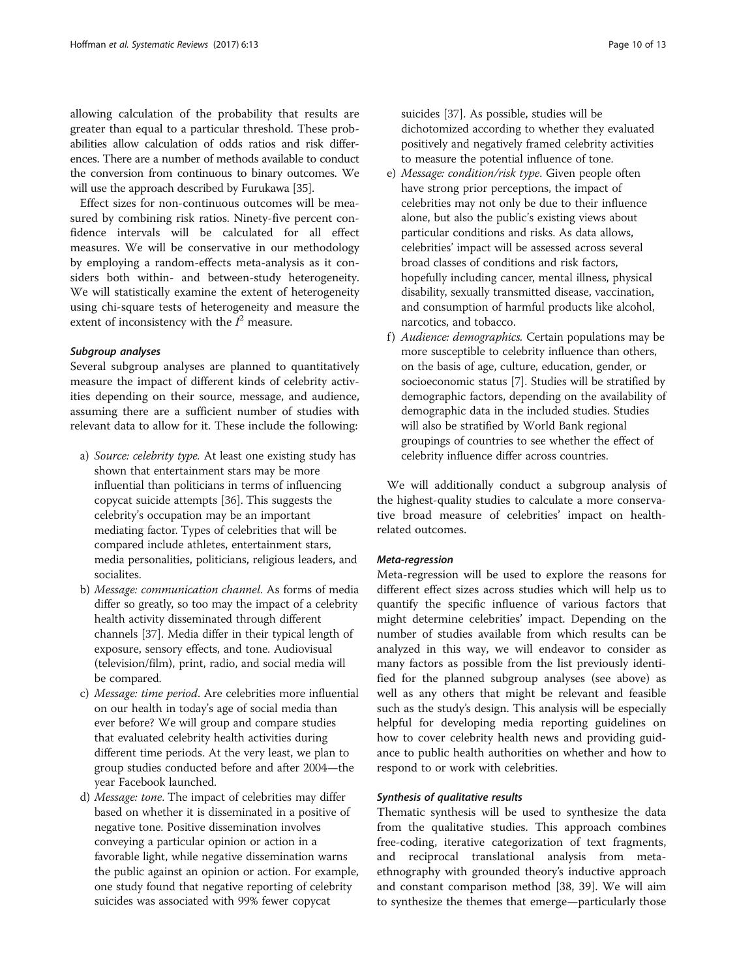allowing calculation of the probability that results are greater than equal to a particular threshold. These probabilities allow calculation of odds ratios and risk differences. There are a number of methods available to conduct the conversion from continuous to binary outcomes. We will use the approach described by Furukawa [[35](#page-12-0)].

Effect sizes for non-continuous outcomes will be measured by combining risk ratios. Ninety-five percent confidence intervals will be calculated for all effect measures. We will be conservative in our methodology by employing a random-effects meta-analysis as it considers both within- and between-study heterogeneity. We will statistically examine the extent of heterogeneity using chi-square tests of heterogeneity and measure the extent of inconsistency with the  $I^2$  measure.

Several subgroup analyses are planned to quantitatively measure the impact of different kinds of celebrity activities depending on their source, message, and audience, assuming there are a sufficient number of studies with relevant data to allow for it. These include the following:

- a) Source: celebrity type. At least one existing study has shown that entertainment stars may be more influential than politicians in terms of influencing copycat suicide attempts [[36](#page-12-0)]. This suggests the celebrity's occupation may be an important mediating factor. Types of celebrities that will be compared include athletes, entertainment stars, media personalities, politicians, religious leaders, and socialites.
- b) Message: communication channel. As forms of media differ so greatly, so too may the impact of a celebrity health activity disseminated through different channels [[37](#page-12-0)]. Media differ in their typical length of exposure, sensory effects, and tone. Audiovisual (television/film), print, radio, and social media will be compared.
- c) Message: time period. Are celebrities more influential on our health in today's age of social media than ever before? We will group and compare studies that evaluated celebrity health activities during different time periods. At the very least, we plan to group studies conducted before and after 2004—the year Facebook launched.
- d) Message: tone. The impact of celebrities may differ based on whether it is disseminated in a positive of negative tone. Positive dissemination involves conveying a particular opinion or action in a favorable light, while negative dissemination warns the public against an opinion or action. For example, one study found that negative reporting of celebrity suicides was associated with 99% fewer copycat

suicides [[37](#page-12-0)]. As possible, studies will be dichotomized according to whether they evaluated positively and negatively framed celebrity activities to measure the potential influence of tone.

- e) Message: condition/risk type. Given people often have strong prior perceptions, the impact of celebrities may not only be due to their influence alone, but also the public's existing views about particular conditions and risks. As data allows, celebrities' impact will be assessed across several broad classes of conditions and risk factors, hopefully including cancer, mental illness, physical disability, sexually transmitted disease, vaccination, and consumption of harmful products like alcohol, narcotics, and tobacco.
- f) Audience: demographics. Certain populations may be more susceptible to celebrity influence than others, on the basis of age, culture, education, gender, or socioeconomic status [\[7\]](#page-11-0). Studies will be stratified by demographic factors, depending on the availability of demographic data in the included studies. Studies will also be stratified by World Bank regional groupings of countries to see whether the effect of celebrity influence differ across countries.

We will additionally conduct a subgroup analysis of the highest-quality studies to calculate a more conservative broad measure of celebrities' impact on healthrelated outcomes.

Meta-regression Meta-regression will be used to explore the reasons for different effect sizes across studies which will help us to quantify the specific influence of various factors that might determine celebrities' impact. Depending on the number of studies available from which results can be analyzed in this way, we will endeavor to consider as many factors as possible from the list previously identified for the planned subgroup analyses (see above) as well as any others that might be relevant and feasible such as the study's design. This analysis will be especially helpful for developing media reporting guidelines on how to cover celebrity health news and providing guidance to public health authorities on whether and how to respond to or work with celebrities.

Thematic synthesis will be used to synthesize the data from the qualitative studies. This approach combines free-coding, iterative categorization of text fragments, and reciprocal translational analysis from metaethnography with grounded theory's inductive approach and constant comparison method [\[38](#page-12-0), [39\]](#page-12-0). We will aim to synthesize the themes that emerge—particularly those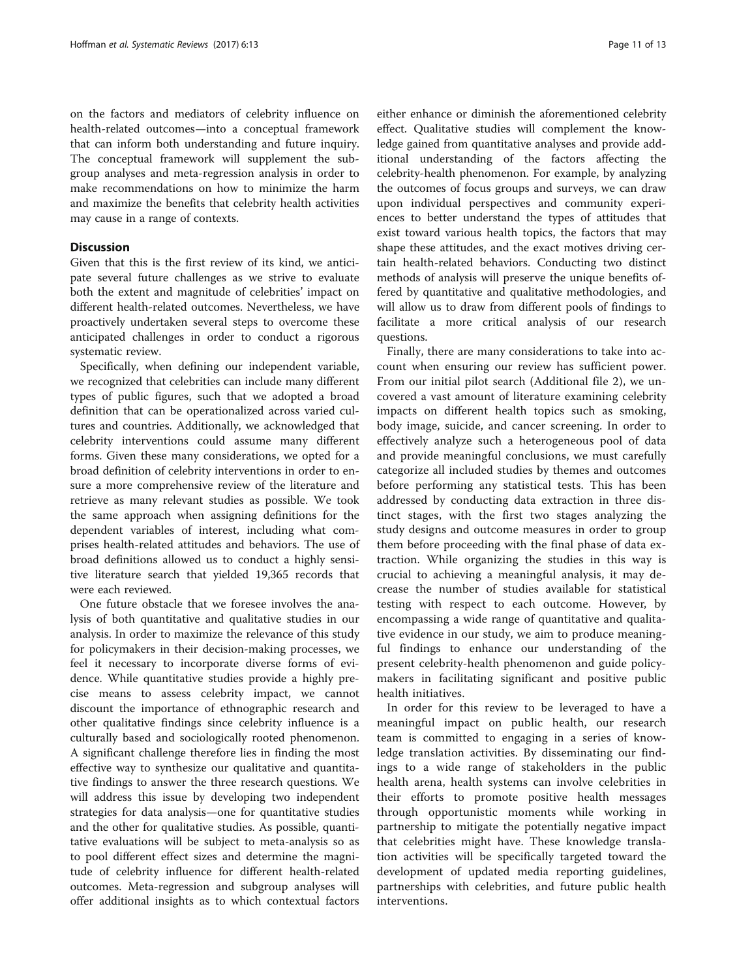on the factors and mediators of celebrity influence on health-related outcomes—into a conceptual framework that can inform both understanding and future inquiry. The conceptual framework will supplement the subgroup analyses and meta-regression analysis in order to make recommendations on how to minimize the harm and maximize the benefits that celebrity health activities may cause in a range of contexts.

# **Discussion**

Given that this is the first review of its kind, we anticipate several future challenges as we strive to evaluate both the extent and magnitude of celebrities' impact on different health-related outcomes. Nevertheless, we have proactively undertaken several steps to overcome these anticipated challenges in order to conduct a rigorous systematic review.

Specifically, when defining our independent variable, we recognized that celebrities can include many different types of public figures, such that we adopted a broad definition that can be operationalized across varied cultures and countries. Additionally, we acknowledged that celebrity interventions could assume many different forms. Given these many considerations, we opted for a broad definition of celebrity interventions in order to ensure a more comprehensive review of the literature and retrieve as many relevant studies as possible. We took the same approach when assigning definitions for the dependent variables of interest, including what comprises health-related attitudes and behaviors. The use of broad definitions allowed us to conduct a highly sensitive literature search that yielded 19,365 records that were each reviewed.

One future obstacle that we foresee involves the analysis of both quantitative and qualitative studies in our analysis. In order to maximize the relevance of this study for policymakers in their decision-making processes, we feel it necessary to incorporate diverse forms of evidence. While quantitative studies provide a highly precise means to assess celebrity impact, we cannot discount the importance of ethnographic research and other qualitative findings since celebrity influence is a culturally based and sociologically rooted phenomenon. A significant challenge therefore lies in finding the most effective way to synthesize our qualitative and quantitative findings to answer the three research questions. We will address this issue by developing two independent strategies for data analysis—one for quantitative studies and the other for qualitative studies. As possible, quantitative evaluations will be subject to meta-analysis so as to pool different effect sizes and determine the magnitude of celebrity influence for different health-related outcomes. Meta-regression and subgroup analyses will offer additional insights as to which contextual factors

either enhance or diminish the aforementioned celebrity effect. Qualitative studies will complement the knowledge gained from quantitative analyses and provide additional understanding of the factors affecting the celebrity-health phenomenon. For example, by analyzing the outcomes of focus groups and surveys, we can draw upon individual perspectives and community experiences to better understand the types of attitudes that exist toward various health topics, the factors that may shape these attitudes, and the exact motives driving certain health-related behaviors. Conducting two distinct methods of analysis will preserve the unique benefits offered by quantitative and qualitative methodologies, and will allow us to draw from different pools of findings to facilitate a more critical analysis of our research questions.

Finally, there are many considerations to take into account when ensuring our review has sufficient power. From our initial pilot search (Additional file [2](#page-11-0)), we uncovered a vast amount of literature examining celebrity impacts on different health topics such as smoking, body image, suicide, and cancer screening. In order to effectively analyze such a heterogeneous pool of data and provide meaningful conclusions, we must carefully categorize all included studies by themes and outcomes before performing any statistical tests. This has been addressed by conducting data extraction in three distinct stages, with the first two stages analyzing the study designs and outcome measures in order to group them before proceeding with the final phase of data extraction. While organizing the studies in this way is crucial to achieving a meaningful analysis, it may decrease the number of studies available for statistical testing with respect to each outcome. However, by encompassing a wide range of quantitative and qualitative evidence in our study, we aim to produce meaningful findings to enhance our understanding of the present celebrity-health phenomenon and guide policymakers in facilitating significant and positive public health initiatives.

In order for this review to be leveraged to have a meaningful impact on public health, our research team is committed to engaging in a series of knowledge translation activities. By disseminating our findings to a wide range of stakeholders in the public health arena, health systems can involve celebrities in their efforts to promote positive health messages through opportunistic moments while working in partnership to mitigate the potentially negative impact that celebrities might have. These knowledge translation activities will be specifically targeted toward the development of updated media reporting guidelines, partnerships with celebrities, and future public health interventions.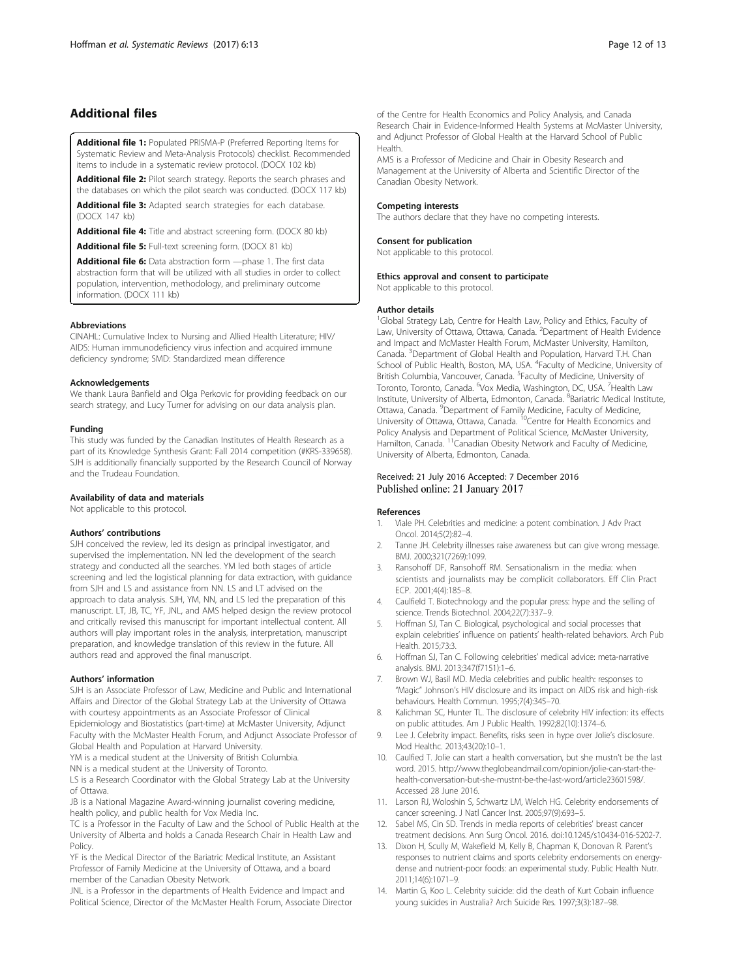# <span id="page-11-0"></span>Additional files

[Additional file 1:](dx.doi.org/10.1186/s13643-016-0395-1) Populated PRISMA-P (Preferred Reporting Items for Systematic Review and Meta-Analysis Protocols) checklist. Recommended items to include in a systematic review protocol. (DOCX 102 kb)

[Additional file 2:](dx.doi.org/10.1186/s13643-016-0395-1) Pilot search strategy. Reports the search phrases and the databases on which the pilot search was conducted. (DOCX 117 kb)

[Additional file 3:](dx.doi.org/10.1186/s13643-016-0395-1) Adapted search strategies for each database. (DOCX 147 kb)

[Additional file 4:](dx.doi.org/10.1186/s13643-016-0395-1) Title and abstract screening form. (DOCX 80 kb)

[Additional file 5:](dx.doi.org/10.1186/s13643-016-0395-1) Full-text screening form. (DOCX 81 kb)

[Additional file 6:](dx.doi.org/10.1186/s13643-016-0395-1) Data abstraction form - phase 1. The first data abstraction form that will be utilized with all studies in order to collect population, intervention, methodology, and preliminary outcome information. (DOCX 111 kb)

### Abbreviations

CINAHL: Cumulative Index to Nursing and Allied Health Literature; HIV/ AIDS: Human immunodeficiency virus infection and acquired immune deficiency syndrome; SMD: Standardized mean difference

### Acknowledgements

We thank Laura Banfield and Olga Perkovic for providing feedback on our search strategy, and Lucy Turner for advising on our data analysis plan.

### Funding

This study was funded by the Canadian Institutes of Health Research as a part of its Knowledge Synthesis Grant: Fall 2014 competition (#KRS-339658). SJH is additionally financially supported by the Research Council of Norway and the Trudeau Foundation.

# Availability of data and materials

Not applicable to this protocol.

### Authors' contributions

SJH conceived the review, led its design as principal investigator, and supervised the implementation. NN led the development of the search strategy and conducted all the searches. YM led both stages of article screening and led the logistical planning for data extraction, with guidance from SJH and LS and assistance from NN. LS and LT advised on the approach to data analysis. SJH, YM, NN, and LS led the preparation of this manuscript. LT, JB, TC, YF, JNL, and AMS helped design the review protocol and critically revised this manuscript for important intellectual content. All authors will play important roles in the analysis, interpretation, manuscript preparation, and knowledge translation of this review in the future. All authors read and approved the final manuscript.

### Authors' information

SJH is an Associate Professor of Law, Medicine and Public and International Affairs and Director of the Global Strategy Lab at the University of Ottawa with courtesy appointments as an Associate Professor of Clinical Epidemiology and Biostatistics (part-time) at McMaster University, Adjunct

Faculty with the McMaster Health Forum, and Adjunct Associate Professor of Global Health and Population at Harvard University.

YM is a medical student at the University of British Columbia.

NN is a medical student at the University of Toronto.

LS is a Research Coordinator with the Global Strategy Lab at the University of Ottawa.

JB is a National Magazine Award-winning journalist covering medicine, health policy, and public health for Vox Media Inc.

TC is a Professor in the Faculty of Law and the School of Public Health at the University of Alberta and holds a Canada Research Chair in Health Law and **Policy** 

YF is the Medical Director of the Bariatric Medical Institute, an Assistant Professor of Family Medicine at the University of Ottawa, and a board member of the Canadian Obesity Network.

JNL is a Professor in the departments of Health Evidence and Impact and Political Science, Director of the McMaster Health Forum, Associate Director of the Centre for Health Economics and Policy Analysis, and Canada Research Chair in Evidence-Informed Health Systems at McMaster University, and Adjunct Professor of Global Health at the Harvard School of Public Health.

AMS is a Professor of Medicine and Chair in Obesity Research and Management at the University of Alberta and Scientific Director of the Canadian Obesity Network.

### Competing interests

The authors declare that they have no competing interests.

# Consent for publication

Not applicable to this protocol.

### Ethics approval and consent to participate

Not applicable to this protocol.

### Author details

<sup>1</sup>Global Strategy Lab, Centre for Health Law, Policy and Ethics, Faculty of Law, University of Ottawa, Ottawa, Canada. <sup>2</sup>Department of Health Evidence and Impact and McMaster Health Forum, McMaster University, Hamilton, Canada. <sup>3</sup>Department of Global Health and Population, Harvard T.H. Chan School of Public Health, Boston, MA, USA. <sup>4</sup>Faculty of Medicine, University of British Columbia, Vancouver, Canada. <sup>5</sup> Faculty of Medicine, University of Toronto, Toronto, Canada. <sup>6</sup>Vox Media, Washington, DC, USA. <sup>7</sup>Health Law Institute, University of Alberta, Edmonton, Canada. <sup>8</sup>Bariatric Medical Institute, Ottawa, Canada. <sup>9</sup>Department of Family Medicine, Faculty of Medicine University of Ottawa, Ottawa, Canada. <sup>10</sup>Centre for Health Economics and Policy Analysis and Department of Political Science, McMaster University, Hamilton, Canada. <sup>11</sup>Canadian Obesity Network and Faculty of Medicine, University of Alberta, Edmonton, Canada.

# Received: 21 July 2016 Accepted: 7 December 2016 Published online: 21 January 2017

# References

- 1. Viale PH. Celebrities and medicine: a potent combination. J Adv Pract Oncol. 2014;5(2):82–4.
- 2. Tanne JH. Celebrity illnesses raise awareness but can give wrong message. BMJ. 2000;321(7269):1099.
- Ransohoff DF, Ransohoff RM. Sensationalism in the media: when scientists and journalists may be complicit collaborators. Eff Clin Pract ECP. 2001;4(4):185–8.
- 4. Caulfield T. Biotechnology and the popular press: hype and the selling of science. Trends Biotechnol. 2004;22(7):337–9.
- 5. Hoffman SJ, Tan C. Biological, psychological and social processes that explain celebrities' influence on patients' health-related behaviors. Arch Pub Health. 2015;73:3.
- 6. Hoffman SJ, Tan C. Following celebrities' medical advice: meta-narrative analysis. BMJ. 2013;347(f7151):1–6.
- 7. Brown WJ, Basil MD. Media celebrities and public health: responses to "Magic" Johnson's HIV disclosure and its impact on AIDS risk and high-risk behaviours. Health Commun. 1995;7(4):345–70.
- 8. Kalichman SC, Hunter TL. The disclosure of celebrity HIV infection: its effects on public attitudes. Am J Public Health. 1992;82(10):1374–6.
- 9. Lee J. Celebrity impact. Benefits, risks seen in hype over Jolie's disclosure. Mod Healthc. 2013;43(20):10–1.
- 10. Caulfied T. Jolie can start a health conversation, but she mustn't be the last word. 2015. [http://www.theglobeandmail.com/opinion/jolie-can-start-the](http://www.theglobeandmail.com/opinion/jolie-can-start-the-health-conversation-but-she-mustnt-be-the-last-word/article23601598/)[health-conversation-but-she-mustnt-be-the-last-word/article23601598/](http://www.theglobeandmail.com/opinion/jolie-can-start-the-health-conversation-but-she-mustnt-be-the-last-word/article23601598/). Accessed 28 June 2016.
- 11. Larson RJ, Woloshin S, Schwartz LM, Welch HG. Celebrity endorsements of cancer screening. J Natl Cancer Inst. 2005;97(9):693–5.
- 12. Sabel MS, Cin SD. Trends in media reports of celebrities' breast cancer treatment decisions. Ann Surg Oncol. 2016. doi:[10.1245/s10434-016-5202-7](http://dx.doi.org/10.1245/s10434-016-5202-7).
- 13. Dixon H, Scully M, Wakefield M, Kelly B, Chapman K, Donovan R. Parent's responses to nutrient claims and sports celebrity endorsements on energydense and nutrient-poor foods: an experimental study. Public Health Nutr. 2011;14(6):1071–9.
- 14. Martin G, Koo L. Celebrity suicide: did the death of Kurt Cobain influence young suicides in Australia? Arch Suicide Res. 1997;3(3):187–98.